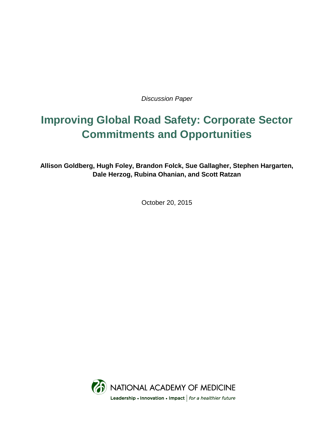*Discussion Paper*

# **Improving Global Road Safety: Corporate Sector Commitments and Opportunities**

**Allison Goldberg, Hugh Foley, Brandon Folck, Sue Gallagher, Stephen Hargarten, Dale Herzog, Rubina Ohanian, and Scott Ratzan**

October 20, 2015

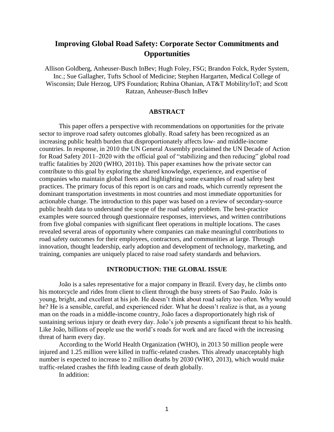# **Improving Global Road Safety: Corporate Sector Commitments and Opportunities**

Allison Goldberg, Anheuser-Busch InBev; Hugh Foley, FSG; Brandon Folck, Ryder System, Inc.; Sue Gallagher, Tufts School of Medicine; Stephen Hargarten, Medical College of Wisconsin; Dale Herzog, UPS Foundation; Rubina Ohanian, AT&T Mobility/IoT; and Scott Ratzan, Anheuser-Busch InBev

#### **ABSTRACT**

This paper offers a perspective with recommendations on opportunities for the private sector to improve road safety outcomes globally. Road safety has been recognized as an increasing public health burden that disproportionately affects low- and middle-income countries. In response, in 2010 the UN General Assembly proclaimed the UN Decade of Action for Road Safety 2011–2020 with the official goal of "stabilizing and then reducing" global road traffic fatalities by 2020 (WHO, 2011b). This paper examines how the private sector can contribute to this goal by exploring the shared knowledge, experience, and expertise of companies who maintain global fleets and highlighting some examples of road safety best practices. The primary focus of this report is on cars and roads, which currently represent the dominant transportation investments in most countries and most immediate opportunities for actionable change. The introduction to this paper was based on a review of secondary-source public health data to understand the scope of the road safety problem. The best-practice examples were sourced through questionnaire responses, interviews, and written contributions from five global companies with significant fleet operations in multiple locations. The cases revealed several areas of opportunity where companies can make meaningful contributions to road safety outcomes for their employees, contractors, and communities at large. Through innovation, thought leadership, early adoption and development of technology, marketing, and training, companies are uniquely placed to raise road safety standards and behaviors.

#### **INTRODUCTION: THE GLOBAL ISSUE**

João is a sales representative for a major company in Brazil. Every day, he climbs onto his motorcycle and rides from client to client through the busy streets of Sao Paulo. João is young, bright, and excellent at his job. He doesn't think about road safety too often. Why would he? He is a sensible, careful, and experienced rider. What he doesn't realize is that, as a young man on the roads in a middle-income country, João faces a disproportionately high risk of sustaining serious injury or death every day. João's job presents a significant threat to his health. Like João, billions of people use the world's roads for work and are faced with the increasing threat of harm every day.

According to the World Health Organization (WHO), in 2013 50 million people were injured and 1.25 million were killed in traffic-related crashes. This already unacceptably high number is expected to increase to 2 million deaths by 2030 (WHO, 2013), which would make traffic-related crashes the fifth leading cause of death globally.

In addition: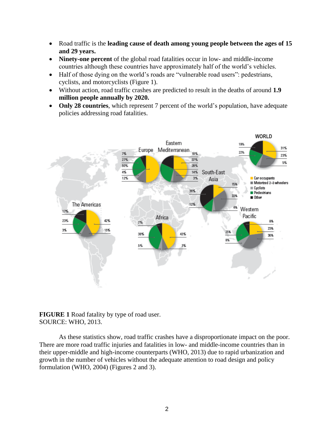- Road traffic is the **leading cause of death among young people between the ages of 15 and 29 years.**
- **Ninety-one percent** of the global road fatalities occur in low- and middle-income countries although these countries have approximately half of the world's vehicles.
- Half of those dying on the world's roads are "vulnerable road users": pedestrians, cyclists, and motorcyclists (Figure 1).
- Without action, road traffic crashes are predicted to result in the deaths of around **1.9 million people annually by 2020.**
- Only 28 countries, which represent 7 percent of the world's population, have adequate policies addressing road fatalities.



## **FIGURE 1** Road fatality by type of road user. SOURCE: WHO, 2013.

As these statistics show, road traffic crashes have a disproportionate impact on the poor. There are more road traffic injuries and fatalities in low- and middle-income countries than in their upper-middle and high-income counterparts (WHO, 2013) due to rapid urbanization and growth in the number of vehicles without the adequate attention to road design and policy formulation (WHO, 2004) (Figures 2 and 3).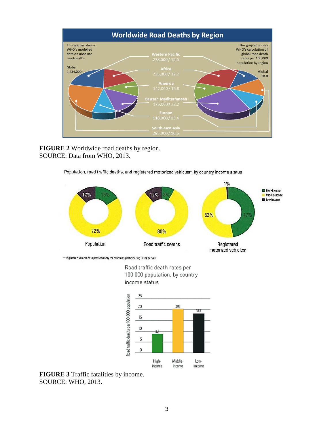

**FIGURE 2** Worldwide road deaths by region. SOURCE: Data from WHO, 2013.

Population, road traffic deaths, and registered motorized vehicles<sup>9</sup>, by country income status



<sup>a</sup> Registered vehicle data provided only for countries participating in the survey.

Road traffic death rates per 100 000 population, by country income status



**FIGURE 3** Traffic fatalities by income. SOURCE: WHO, 2013.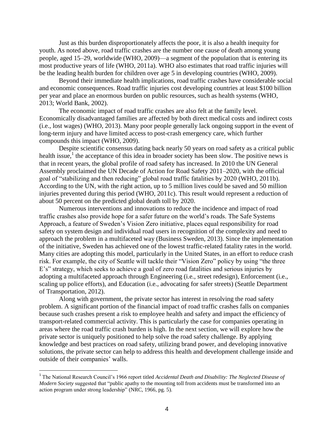Just as this burden disproportionately affects the poor, it is also a health inequity for youth. As noted above, road traffic crashes are the number one cause of death among young people, aged 15–29, worldwide (WHO, 2009)—a segment of the population that is entering its most productive years of life (WHO, 2011a). WHO also estimates that road traffic injuries will be the leading health burden for children over age 5 in developing countries (WHO, 2009).

Beyond their immediate health implications, road traffic crashes have considerable social and economic consequences. Road traffic injuries cost developing countries at least \$100 billion per year and place an enormous burden on public resources, such as health systems (WHO, 2013; World Bank, 2002).

The economic impact of road traffic crashes are also felt at the family level. Economically disadvantaged families are affected by both direct medical costs and indirect costs (i.e., lost wages) (WHO, 2013). Many poor people generally lack ongoing support in the event of long-term injury and have limited access to post-crash emergency care, which further compounds this impact (WHO, 2009).

Despite scientific consensus dating back nearly 50 years on road safety as a critical public health issue,<sup>1</sup> the acceptance of this idea in broader society has been slow. The positive news is that in recent years, the global profile of road safety has increased. In 2010 the UN General Assembly proclaimed the UN Decade of Action for Road Safety 2011–2020, with the official goal of "stabilizing and then reducing" global road traffic fatalities by 2020 (WHO, 2011b). According to the UN, with the right action, up to 5 million lives could be saved and 50 million injuries prevented during this period (WHO, 2011c). This result would represent a reduction of about 50 percent on the predicted global death toll by 2020.

Numerous interventions and innovations to reduce the incidence and impact of road traffic crashes also provide hope for a safer future on the world's roads. The Safe Systems Approach, a feature of Sweden's Vision Zero initiative, places equal responsibility for road safety on system design and individual road users in recognition of the complexity and need to approach the problem in a multifaceted way (Business Sweden, 2013). Since the implementation of the initiative, Sweden has achieved one of the lowest traffic-related fatality rates in the world. Many cities are adopting this model, particularly in the United States, in an effort to reduce crash risk. For example, the city of Seattle will tackle their "Vision Zero" policy by using "the three E's" strategy, which seeks to achieve a goal of zero road fatalities and serious injuries by adopting a multifaceted approach through Engineering (i.e., street redesign), Enforcement (i.e., scaling up police efforts), and Education (i.e., advocating for safer streets) (Seattle Department of Transportation, 2012).

Along with government, the private sector has interest in resolving the road safety problem. A significant portion of the financial impact of road traffic crashes falls on companies because such crashes present a risk to employee health and safety and impact the efficiency of transport-related commercial activity. This is particularly the case for companies operating in areas where the road traffic crash burden is high. In the next section, we will explore how the private sector is uniquely positioned to help solve the road safety challenge. By applying knowledge and best practices on road safety, utilizing brand power, and developing innovative solutions, the private sector can help to address this health and development challenge inside and outside of their companies' walls.

<sup>&</sup>lt;sup>1</sup> The National Research Council's 1966 report titled *Accidental Death and Disability: The Neglected Disease of Modern Society* suggested that "public apathy to the mounting toll from accidents must be transformed into an action program under strong leadership" (NRC, 1966, pg. 5).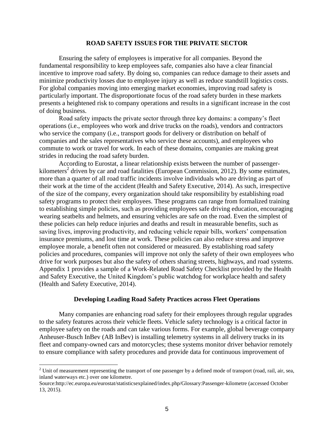#### **ROAD SAFETY ISSUES FOR THE PRIVATE SECTOR**

Ensuring the safety of employees is imperative for all companies. Beyond the fundamental responsibility to keep employees safe, companies also have a clear financial incentive to improve road safety. By doing so, companies can reduce damage to their assets and minimize productivity losses due to employee injury as well as reduce standstill logistics costs. For global companies moving into emerging market economies, improving road safety is particularly important. The disproportionate focus of the road safety burden in these markets presents a heightened risk to company operations and results in a significant increase in the cost of doing business.

Road safety impacts the private sector through three key domains: a company's fleet operations (i.e., employees who work and drive trucks on the roads), vendors and contractors who service the company (i.e., transport goods for delivery or distribution on behalf of companies and the sales representatives who service these accounts), and employees who commute to work or travel for work. In each of these domains, companies are making great strides in reducing the road safety burden.

According to Eurostat, a linear relationship exists between the number of passengerkilometers<sup>2</sup> driven by car and road fatalities (European Commission, 2012). By some estimates, more than a quarter of all road traffic incidents involve individuals who are driving as part of their work at the time of the accident (Health and Safety Executive, 2014). As such, irrespective of the size of the company, every organization should take responsibility by establishing road safety programs to protect their employees. These programs can range from formalized training to establishing simple policies, such as providing employees safe driving education, encouraging wearing seatbelts and helmets, and ensuring vehicles are safe on the road. Even the simplest of these policies can help reduce injuries and deaths and result in measurable benefits, such as saving lives, improving productivity, and reducing vehicle repair bills, workers' compensation insurance premiums, and lost time at work. These policies can also reduce stress and improve employee morale, a benefit often not considered or measured. By establishing road safety policies and procedures, companies will improve not only the safety of their own employees who drive for work purposes but also the safety of others sharing streets, highways, and road systems. Appendix 1 provides a sample of a Work-Related Road Safety Checklist provided by the Health and Safety Executive, the United Kingdom's public watchdog for workplace health and safety (Health and Safety Executive, 2014).

#### **Developing Leading Road Safety Practices across Fleet Operations**

Many companies are enhancing road safety for their employees through regular upgrades to the safety features across their vehicle fleets. Vehicle safety technology is a critical factor in employee safety on the roads and can take various forms. For example, global beverage company Anheuser-Busch InBev (AB InBev) is installing telemetry systems in all delivery trucks in its fleet and company-owned cars and motorcycles; these systems monitor driver behavior remotely to ensure compliance with safety procedures and provide data for continuous improvement of

 $2$  Unit of measurement representing the transport of one passenger by a defined mode of transport (road, rail, air, sea, inland waterways etc.) over one kilometre.

Source:http://ec.europa.eu/eurostat/statisticsexplained/index.php/Glossary:Passenger-kilometre (accessed October 13, 2015).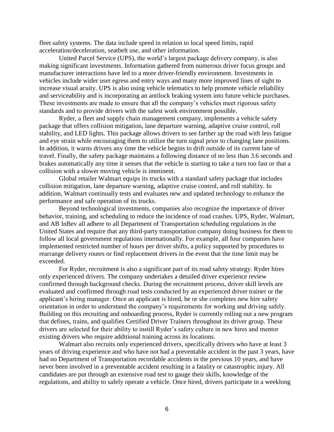fleet safety systems. The data include speed in relation to local speed limits, rapid acceleration/deceleration, seatbelt use, and other information.

United Parcel Service (UPS), the world's largest package delivery company, is also making significant investments. Information gathered from numerous driver focus groups and manufacturer interactions have led to a more driver-friendly environment. Investments in vehicles include wider user egress and entry ways and many more improved lines of sight to increase visual acuity. UPS is also using vehicle telematics to help promote vehicle reliability and serviceability and is incorporating an antilock braking system into future vehicle purchases. These investments are made to ensure that all the company's vehicles meet rigorous safety standards and to provide drivers with the safest work environment possible.

Ryder, a fleet and supply chain management company, implements a vehicle safety package that offers collision mitigation, lane departure warning, adaptive cruise control, roll stability, and LED lights. This package allows drivers to see farther up the road with less fatigue and eye strain while encouraging them to utilize the turn signal prior to changing lane positions. In addition, it warns drivers any time the vehicle begins to drift outside of its current lane of travel. Finally, the safety package maintains a following distance of no less than 3.6 seconds and brakes automatically any time it senses that the vehicle is starting to take a turn too fast or that a collision with a slower moving vehicle is imminent.

Global retailer Walmart equips its trucks with a standard safety package that includes collision mitigation, lane departure warning, adaptive cruise control, and roll stability. In addition, Walmart continually tests and evaluates new and updated technology to enhance the performance and safe operation of its trucks.

Beyond technological investments, companies also recognize the importance of driver behavior, training, and scheduling to reduce the incidence of road crashes. UPS, Ryder, Walmart, and AB InBev all adhere to all Department of Transportation scheduling regulations in the United States and require that any third-party transportation company doing business for them to follow all local government regulations internationally. For example, all four companies have implemented restricted number of hours per driver shifts, a policy supported by procedures to rearrange delivery routes or find replacement drivers in the event that the time limit may be exceeded.

For Ryder, recruitment is also a significant part of its road safety strategy. Ryder hires only experienced drivers. The company undertakes a detailed driver experience review confirmed through background checks. During the recruitment process, driver skill levels are evaluated and confirmed through road tests conducted by an experienced driver trainer or the applicant's hiring manager. Once an applicant is hired, he or she completes new hire safety orientation in order to understand the company's requirements for working and driving safely. Building on this recruiting and onboarding process, Ryder is currently rolling out a new program that defines, trains, and qualifies Certified Driver Trainers throughout its driver group. These drivers are selected for their ability to instill Ryder's safety culture in new hires and mentor existing drivers who require additional training across its locations.

Walmart also recruits only experienced drivers, specifically drivers who have at least 3 years of driving experience and who have not had a preventable accident in the past 3 years, have had no Department of Transportation recordable accidents in the previous 10 years, and have never been involved in a preventable accident resulting in a fatality or catastrophic injury. All candidates are put through an extensive road test to gauge their skills, knowledge of the regulations, and ability to safely operate a vehicle. Once hired, drivers participate in a weeklong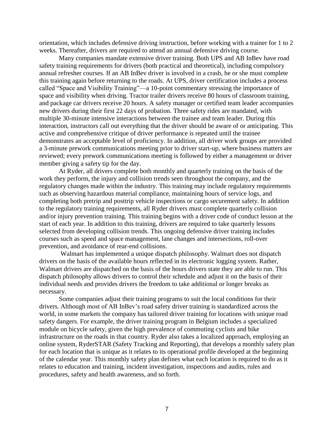orientation, which includes defensive driving instruction, before working with a trainer for 1 to 2 weeks. Thereafter, drivers are required to attend an annual defensive driving course.

Many companies mandate extensive driver training. Both UPS and AB InBev have road safety training requirements for drivers (both practical and theoretical), including compulsory annual refresher courses. If an AB InBev driver is involved in a crash, he or she must complete this training again before returning to the roads. At UPS, driver certification includes a process called "Space and Visibility Training"—a 10-point commentary stressing the importance of space and visibility when driving. Tractor trailer drivers receive 80 hours of classroom training, and package car drivers receive 20 hours. A safety manager or certified team leader accompanies new drivers during their first 22 days of probation. Three safety rides are mandated, with multiple 30-minute intensive interactions between the trainee and team leader. During this interaction, instructors call out everything that the driver should be aware of or anticipating. This active and comprehensive critique of driver performance is repeated until the trainee demonstrates an acceptable level of proficiency. In addition, all driver work groups are provided a 3-minute prework communications meeting prior to driver start-up, where business matters are reviewed; every prework communications meeting is followed by either a management or driver member giving a safety tip for the day.

At Ryder, all drivers complete both monthly and quarterly training on the basis of the work they perform, the injury and collision trends seen throughout the company, and the regulatory changes made within the industry. This training may include regulatory requirements such as observing hazardous material compliance, maintaining hours of service logs, and completing both pretrip and posttrip vehicle inspections or cargo securement safety. In addition to the regulatory training requirements, all Ryder drivers must complete quarterly collision and/or injury prevention training. This training begins with a driver code of conduct lesson at the start of each year. In addition to this training, drivers are required to take quarterly lessons selected from developing collision trends. This ongoing defensive driver training includes courses such as speed and space management, lane changes and intersections, roll-over prevention, and avoidance of rear-end collisions.

Walmart has implemented a unique dispatch philosophy. Walmart does not dispatch drivers on the basis of the available hours reflected in its electronic logging system. Rather, Walmart drivers are dispatched on the basis of the hours drivers state they are able to run. This dispatch philosophy allows drivers to control their schedule and adjust it on the basis of their individual needs and provides drivers the freedom to take additional or longer breaks as necessary.

Some companies adjust their training programs to suit the local conditions for their drivers. Although most of AB InBev's road safety driver training is standardized across the world, in some markets the company has tailored driver training for locations with unique road safety dangers. For example, the driver training program in Belgium includes a specialized module on bicycle safety, given the high prevalence of commuting cyclists and bike infrastructure on the roads in that country. Ryder also takes a localized approach, employing an online system, RyderSTAR (Safety Tracking and Reporting), that develops a monthly safety plan for each location that is unique as it relates to its operational profile developed at the beginning of the calendar year. This monthly safety plan defines what each location is required to do as it relates to education and training, incident investigation, inspections and audits, rules and procedures, safety and health awareness, and so forth.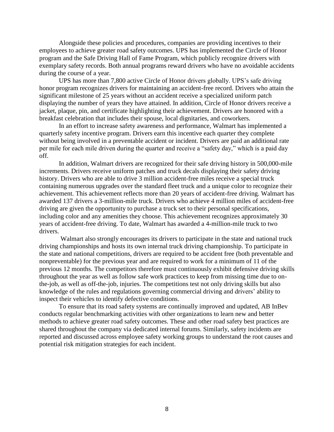Alongside these policies and procedures, companies are providing incentives to their employees to achieve greater road safety outcomes. UPS has implemented the Circle of Honor program and the Safe Driving Hall of Fame Program, which publicly recognize drivers with exemplary safety records. Both annual programs reward drivers who have no avoidable accidents during the course of a year.

UPS has more than 7,800 active Circle of Honor drivers globally. UPS's safe driving honor program recognizes drivers for maintaining an accident-free record. Drivers who attain the significant milestone of 25 years without an accident receive a specialized uniform patch displaying the number of years they have attained. In addition, Circle of Honor drivers receive a jacket, plaque, pin, and certificate highlighting their achievement. Drivers are honored with a breakfast celebration that includes their spouse, local dignitaries, and coworkers.

In an effort to increase safety awareness and performance, Walmart has implemented a quarterly safety incentive program. Drivers earn this incentive each quarter they complete without being involved in a preventable accident or incident. Drivers are paid an additional rate per mile for each mile driven during the quarter and receive a "safety day," which is a paid day off.

In addition, Walmart drivers are recognized for their safe driving history in 500,000-mile increments. Drivers receive uniform patches and truck decals displaying their safety driving history. Drivers who are able to drive 3 million accident-free miles receive a special truck containing numerous upgrades over the standard fleet truck and a unique color to recognize their achievement. This achievement reflects more than 20 years of accident-free driving. Walmart has awarded 137 drivers a 3-million-mile truck. Drivers who achieve 4 million miles of accident-free driving are given the opportunity to purchase a truck set to their personal specifications, including color and any amenities they choose. This achievement recognizes approximately 30 years of accident-free driving. To date, Walmart has awarded a 4-million-mile truck to two drivers.

Walmart also strongly encourages its drivers to participate in the state and national truck driving championships and hosts its own internal truck driving championship. To participate in the state and national competitions, drivers are required to be accident free (both preventable and nonpreventable) for the previous year and are required to work for a minimum of 11 of the previous 12 months. The competitors therefore must continuously exhibit defensive driving skills throughout the year as well as follow safe work practices to keep from missing time due to onthe-job, as well as off-the-job, injuries. The competitions test not only driving skills but also knowledge of the rules and regulations governing commercial driving and drivers' ability to inspect their vehicles to identify defective conditions.

To ensure that its road safety systems are continually improved and updated, AB InBev conducts regular benchmarking activities with other organizations to learn new and better methods to achieve greater road safety outcomes. These and other road safety best practices are shared throughout the company via dedicated internal forums. Similarly, safety incidents are reported and discussed across employee safety working groups to understand the root causes and potential risk mitigation strategies for each incident.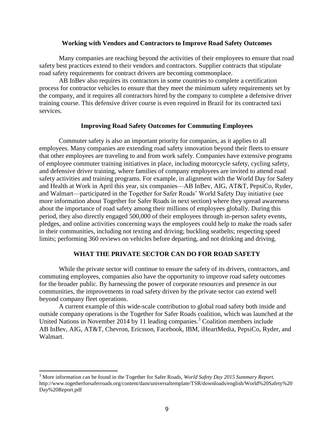#### **Working with Vendors and Contractors to Improve Road Safety Outcomes**

Many companies are reaching beyond the activities of their employees to ensure that road safety best practices extend to their vendors and contractors. Supplier contracts that stipulate road safety requirements for contract drivers are becoming commonplace.

AB InBev also requires its contractors in some countries to complete a certification process for contractor vehicles to ensure that they meet the minimum safety requirements set by the company, and it requires all contractors hired by the company to complete a defensive driver training course. This defensive driver course is even required in Brazil for its contracted taxi services.

### **Improving Road Safety Outcomes for Commuting Employees**

Commuter safety is also an important priority for companies, as it applies to all employees. Many companies are extending road safety innovation beyond their fleets to ensure that other employees are traveling to and from work safely. Companies have extensive programs of employee commuter training initiatives in place, including motorcycle safety, cycling safety, and defensive driver training, where families of company employees are invited to attend road safety activities and training programs. For example, in alignment with the World Day for Safety and Health at Work in April this year, six companies—AB InBev, AIG, AT&T, PepsiCo, Ryder, and Walmart—participated in the Together for Safer Roads' World Safety Day initiative (see more information about Together for Safer Roads in next section) where they spread awareness about the importance of road safety among their millions of employees globally. During this period, they also directly engaged 500,000 of their employees through in-person safety events, pledges, and online activities concerning ways the employees could help to make the roads safer in their communities, including not texting and driving; buckling seatbelts; respecting speed limits; performing 360 reviews on vehicles before departing, and not drinking and driving.

#### **WHAT THE PRIVATE SECTOR CAN DO FOR ROAD SAFETY**

While the private sector will continue to ensure the safety of its drivers, contractors, and commuting employees, companies also have the opportunity to improve road safety outcomes for the broader public. By harnessing the power of corporate resources and presence in our communities, the improvements in road safety driven by the private sector can extend well beyond company fleet operations.

A current example of this wide-scale contribution to global road safety both inside and outside company operations is the Together for Safer Roads coalition, which was launched at the United Nations in November 2014 by 11 leading companies.<sup>3</sup> Coalition members include AB InBev, AIG, AT&T, Chevron, Ericsson, Facebook, IBM, iHeartMedia, PepsiCo, Ryder, and Walmart.

<sup>3</sup> More information can be found in the Together for Safer Roads, *World Safety Day 2015 Summary Report.*  http://www.togetherforsaferroads.org/content/dam/universaltemplate/TSR/downloads/english/World%20Safety%20 Day%20Report.pdf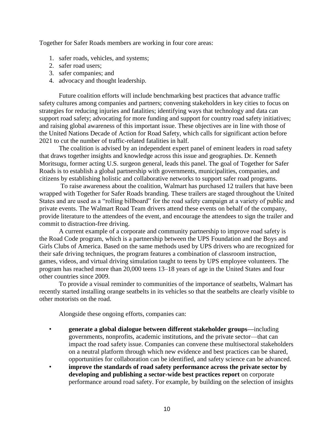Together for Safer Roads members are working in four core areas:

- 1. safer roads, vehicles, and systems;
- 2. safer road users;
- 3. safer companies; and
- 4. advocacy and thought leadership.

Future coalition efforts will include benchmarking best practices that advance traffic safety cultures among companies and partners; convening stakeholders in key cities to focus on strategies for reducing injuries and fatalities; identifying ways that technology and data can support road safety; advocating for more funding and support for country road safety initiatives; and raising global awareness of this important issue. These objectives are in line with those of the United Nations Decade of Action for Road Safety, which calls for significant action before 2021 to cut the number of traffic-related fatalities in half.

The coalition is advised by an independent expert panel of eminent leaders in road safety that draws together insights and knowledge across this issue and geographies. Dr. Kenneth Moritsugu, former acting U.S. surgeon general, leads this panel. The goal of Together for Safer Roads is to establish a global partnership with governments, municipalities, companies, and citizens by establishing holistic and collaborative networks to support safer road programs.

To raise awareness about the coalition, Walmart has purchased 12 trailers that have been wrapped with Together for Safer Roads branding. These trailers are staged throughout the United States and are used as a "rolling billboard" for the road safety campaign at a variety of public and private events. The Walmart Road Team drivers attend these events on behalf of the company, provide literature to the attendees of the event, and encourage the attendees to sign the trailer and commit to distraction-free driving.

A current example of a corporate and community partnership to improve road safety is the Road Code program, which is a partnership between the UPS Foundation and the Boys and Girls Clubs of America. Based on the same methods used by UPS drivers who are recognized for their safe driving techniques, the program features a combination of classroom instruction, games, videos, and virtual driving simulation taught to teens by UPS employee volunteers. The program has reached more than 20,000 teens 13–18 years of age in the United States and four other countries since 2009.

To provide a visual reminder to communities of the importance of seatbelts, Walmart has recently started installing orange seatbelts in its vehicles so that the seatbelts are clearly visible to other motorists on the road.

Alongside these ongoing efforts, companies can:

- **generate a global dialogue between different stakeholder groups—**including governments, nonprofits, academic institutions, and the private sector—that can impact the road safety issue. Companies can convene these multisectoral stakeholders on a neutral platform through which new evidence and best practices can be shared, opportunities for collaboration can be identified, and safety science can be advanced.
- **improve the standards of road safety performance across the private sector by developing and publishing a sector-wide best practices report** on corporate performance around road safety. For example, by building on the selection of insights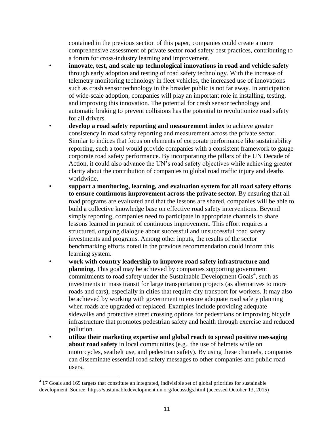contained in the previous section of this paper, companies could create a more comprehensive assessment of private sector road safety best practices, contributing to a forum for cross-industry learning and improvement.

- **innovate, test, and scale up technological innovations in road and vehicle safety** through early adoption and testing of road safety technology. With the increase of telemetry monitoring technology in fleet vehicles, the increased use of innovations such as crash sensor technology in the broader public is not far away. In anticipation of wide-scale adoption, companies will play an important role in installing, testing, and improving this innovation. The potential for crash sensor technology and automatic braking to prevent collisions has the potential to revolutionize road safety for all drivers.
- **develop a road safety reporting and measurement index** to achieve greater consistency in road safety reporting and measurement across the private sector. Similar to indices that focus on elements of corporate performance like sustainability reporting, such a tool would provide companies with a consistent framework to gauge corporate road safety performance. By incorporating the pillars of the UN Decade of Action, it could also advance the UN's road safety objectives while achieving greater clarity about the contribution of companies to global road traffic injury and deaths worldwide.
	- **support a monitoring, learning, and evaluation system for all road safety efforts to ensure continuous improvement across the private sector.** By ensuring that all road programs are evaluated and that the lessons are shared, companies will be able to build a collective knowledge base on effective road safety interventions. Beyond simply reporting, companies need to participate in appropriate channels to share lessons learned in pursuit of continuous improvement. This effort requires a structured, ongoing dialogue about successful and unsuccessful road safety investments and programs. Among other inputs, the results of the sector benchmarking efforts noted in the previous recommendation could inform this learning system.
- **work with country leadership to improve road safety infrastructure and planning.** This goal may be achieved by companies supporting government commitments to road safety under the Sustainable Development Goals<sup>4</sup>, such as investments in mass transit for large transportation projects (as alternatives to more roads and cars), especially in cities that require city transport for workers. It may also be achieved by working with government to ensure adequate road safety planning when roads are upgraded or replaced. Examples include providing adequate sidewalks and protective street crossing options for pedestrians or improving bicycle infrastructure that promotes pedestrian safety and health through exercise and reduced pollution.
	- **utilize their marketing expertise and global reach to spread positive messaging about road safety** in local communities (e.g., the use of helmets while on motorcycles, seatbelt use, and pedestrian safety). By using these channels, companies can disseminate essential road safety messages to other companies and public road users.

 4 17 Goals and 169 targets that constitute an integrated, indivisible set of global priorities for sustainable development. Source: https://sustainabledevelopment.un.org/focussdgs.html (accessed October 13, 2015)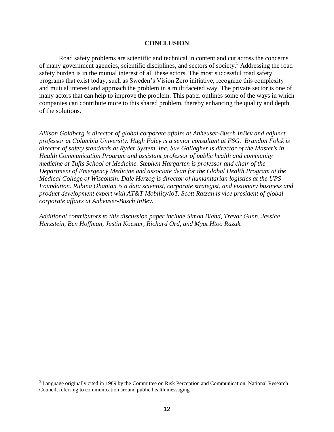#### **CONCLUSION**

Road safety problems are scientific and technical in content and cut across the concerns of many government agencies, scientific disciplines, and sectors of society. <sup>5</sup> Addressing the road safety burden is in the mutual interest of all these actors. The most successful road safety programs that exist today, such as Sweden's Vision Zero initiative, recognize this complexity and mutual interest and approach the problem in a multifaceted way. The private sector is one of many actors that can help to improve the problem. This paper outlines some of the ways in which companies can contribute more to this shared problem, thereby enhancing the quality and depth of the solutions.

*Allison Goldberg is director of global corporate affairs at Anheuser-Busch InBev and adjunct professor at Columbia University. Hugh Foley is a senior consultant at FSG. Brandon Folck is director of safety standards at Ryder System, Inc. Sue Gallagher is director of the Master's in Health Communication Program and assistant professor of public health and community medicine at Tufts School of Medicine. Stephen Hargarten is professor and chair of the Department of Emergency Medicine and associate dean for the Global Health Program at the Medical College of Wisconsin. Dale Herzog is director of humanitarian logistics at the UPS Foundation. Rubina Ohanian is a data scientist, corporate strategist, and visionary business and product development expert with AT&T Mobility/IoT. Scott Ratzan is vice president of global corporate affairs at Anheuser-Busch InBev.*

*Additional contributors to this discussion paper include Simon Bland, Trevor Gunn, Jessica Herzstein, Ben Hoffman, Justin Koester, Richard Ord, and Myat Htoo Razak.*

 $<sup>5</sup>$  Language originally cited in 1989 by the Committee on Risk Perception and Communication, National Research</sup> Council, referring to communication around public health messaging.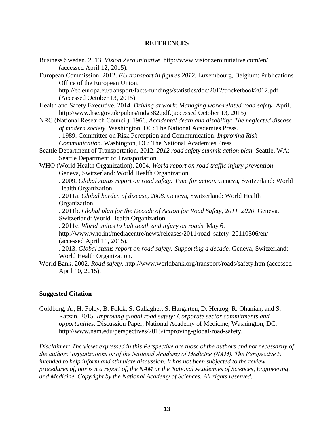#### **REFERENCES**

| Business Sweden. 2013. Vision Zero initiative. http://www.visionzeroinitiative.com/en/                              |
|---------------------------------------------------------------------------------------------------------------------|
| (accessed April 12, 2015).                                                                                          |
| European Commission. 2012. EU transport in figures 2012. Luxembourg, Belgium: Publications                          |
| Office of the European Union.                                                                                       |
| http://ec.europa.eu/transport/facts-fundings/statistics/doc/2012/pocketbook2012.pdf<br>(Accessed October 13, 2015). |
| Health and Safety Executive. 2014. Driving at work: Managing work-related road safety. April.                       |
| http://www.hse.gov.uk/pubns/indg382.pdf.(accessed October 13, 2015)                                                 |
| NRC (National Research Council). 1966. Accidental death and disability: The neglected disease                       |
| of modern society. Washington, DC: The National Academies Press.                                                    |
|                                                                                                                     |
| Communication. Washington, DC: The National Academies Press                                                         |
| Seattle Department of Transportation. 2012. 2012 road safety summit action plan. Seattle, WA:                       |
| Seattle Department of Transportation.                                                                               |
| WHO (World Health Organization). 2004. World report on road traffic injury prevention.                              |
| Geneva, Switzerland: World Health Organization.                                                                     |
| -. 2009. Global status report on road safety: Time for action. Geneva, Switzerland: World                           |
| Health Organization.                                                                                                |
| -. 2011a. Global burden of disease, 2008. Geneva, Switzerland: World Health                                         |
| Organization.                                                                                                       |
|                                                                                                                     |
| Switzerland: World Health Organization.                                                                             |
| -. 2011c. World unites to halt death and injury on roads. May 6.                                                    |
| http://www.who.int/mediacentre/news/releases/2011/road_safety_20110506/en/                                          |
| (accessed April 11, 2015).                                                                                          |
| -. 2013. Global status report on road safety: Supporting a decade. Geneva, Switzerland:                             |
| World Health Organization.                                                                                          |
| World Bank. 2002. Road safety. http://www.worldbank.org/transport/roads/safety.htm (accessed                        |

#### **Suggested Citation**

April 10, 2015).

Goldberg, A., H. Foley, B. Folck, S. Gallagher, S. Hargarten, D. Herzog, R. Ohanian, and S. Ratzan. 2015. *Improving global road safety: Corporate sector commitments and opportunities.* Discussion Paper, National Academy of Medicine, Washington, DC. http://www.nam.edu/perspectives/2015/improving-global-road-safety.

*Disclaimer: The views expressed in this Perspective are those of the authors and not necessarily of the authors' organizations or of the National Academy of Medicine (NAM). The Perspective is intended to help inform and stimulate discussion. It has not been subjected to the review procedures of, nor is it a report of, the NAM or the National Academies of Sciences, Engineering, and Medicine. Copyright by the National Academy of Sciences. All rights reserved.*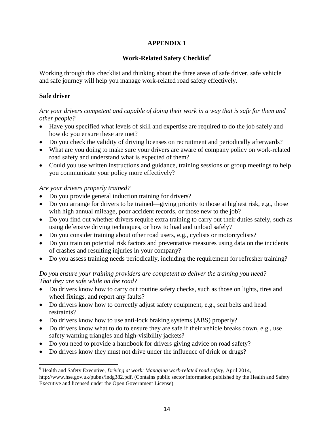# **APPENDIX 1**

# Work-Related Safety Checklist<sup>6</sup>

Working through this checklist and thinking about the three areas of safe driver, safe vehicle and safe journey will help you manage work-related road safety effectively.

## **Safe driver**

## *Are your drivers competent and capable of doing their work in a way that is safe for them and other people?*

- Have you specified what levels of skill and expertise are required to do the job safely and how do you ensure these are met?
- Do you check the validity of driving licenses on recruitment and periodically afterwards?
- What are you doing to make sure your drivers are aware of company policy on work-related road safety and understand what is expected of them?
- Could you use written instructions and guidance, training sessions or group meetings to help you communicate your policy more effectively?

## *Are your drivers properly trained?*

- Do you provide general induction training for drivers?
- Do you arrange for drivers to be trained—giving priority to those at highest risk, e.g., those with high annual mileage, poor accident records, or those new to the job?
- Do you find out whether drivers require extra training to carry out their duties safely, such as using defensive driving techniques, or how to load and unload safely?
- Do you consider training about other road users, e.g., cyclists or motorcyclists?
- Do you train on potential risk factors and preventative measures using data on the incidents of crashes and resulting injuries in your company?
- Do you assess training needs periodically, including the requirement for refresher training?

## *Do you ensure your training providers are competent to deliver the training you need? That they are safe while on the road?*

- Do drivers know how to carry out routine safety checks, such as those on lights, tires and wheel fixings, and report any faults?
- Do drivers know how to correctly adjust safety equipment, e.g., seat belts and head restraints?
- Do drivers know how to use anti-lock braking systems (ABS) properly?
- Do drivers know what to do to ensure they are safe if their vehicle breaks down, e.g., use safety warning triangles and high-visibility jackets?
- Do you need to provide a handbook for drivers giving advice on road safety?
- Do drivers know they must not drive under the influence of drink or drugs?

 $\overline{\phantom{a}}$ <sup>6</sup> Health and Safety Executive, *Driving at work: Managing work-related road safety*, April 2014, http://www.hse.gov.uk/pubns/indg382.pdf. (Contains public sector information published by the Health and Safety Executive and licensed under the Open Government License)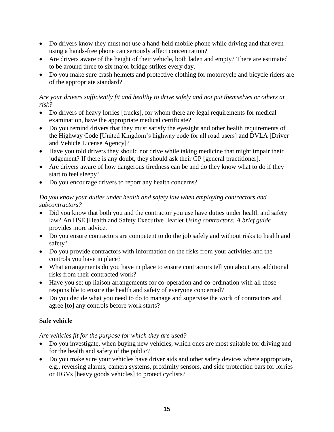- Do drivers know they must not use a hand-held mobile phone while driving and that even using a hands-free phone can seriously affect concentration?
- Are drivers aware of the height of their vehicle, both laden and empty? There are estimated to be around three to six major bridge strikes every day.
- Do you make sure crash helmets and protective clothing for motorcycle and bicycle riders are of the appropriate standard?

## *Are your drivers sufficiently fit and healthy to drive safely and not put themselves or others at risk?*

- Do drivers of heavy lorries [trucks], for whom there are legal requirements for medical examination, have the appropriate medical certificate?
- Do you remind drivers that they must satisfy the eyesight and other health requirements of the Highway Code [United Kingdom's highway code for all road users] and DVLA [Driver and Vehicle License Agency]?
- Have you told drivers they should not drive while taking medicine that might impair their judgement? If there is any doubt, they should ask their GP [general practitioner].
- Are drivers aware of how dangerous tiredness can be and do they know what to do if they start to feel sleepy?
- Do you encourage drivers to report any health concerns?

## *Do you know your duties under health and safety law when employing contractors and subcontractors?*

- Did you know that both you and the contractor you use have duties under health and safety law? An HSE [Health and Safety Executive] leaflet *Using contractors: A brief guide* provides more advice.
- Do you ensure contractors are competent to do the job safely and without risks to health and safety?
- Do you provide contractors with information on the risks from your activities and the controls you have in place?
- What arrangements do you have in place to ensure contractors tell you about any additional risks from their contracted work?
- Have you set up liaison arrangements for co-operation and co-ordination with all those responsible to ensure the health and safety of everyone concerned?
- Do you decide what you need to do to manage and supervise the work of contractors and agree [to] any controls before work starts?

# **Safe vehicle**

# *Are vehicles fit for the purpose for which they are used?*

- Do you investigate, when buying new vehicles, which ones are most suitable for driving and for the health and safety of the public?
- Do you make sure your vehicles have driver aids and other safety devices where appropriate, e.g., reversing alarms, camera systems, proximity sensors, and side protection bars for lorries or HGVs [heavy goods vehicles] to protect cyclists?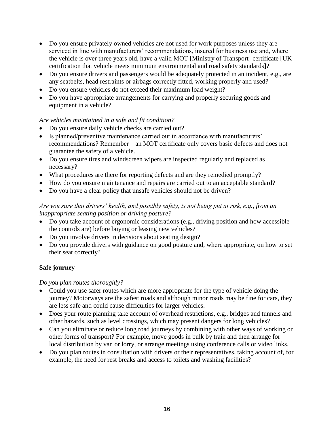- Do you ensure privately owned vehicles are not used for work purposes unless they are serviced in line with manufacturers' recommendations, insured for business use and, where the vehicle is over three years old, have a valid MOT [Ministry of Transport] certificate [UK certification that vehicle meets minimum environmental and road safety standards]?
- Do you ensure drivers and passengers would be adequately protected in an incident, e.g., are any seatbelts, head restraints or airbags correctly fitted, working properly and used?
- Do you ensure vehicles do not exceed their maximum load weight?
- Do you have appropriate arrangements for carrying and properly securing goods and equipment in a vehicle?

# *Are vehicles maintained in a safe and fit condition?*

- Do you ensure daily vehicle checks are carried out?
- Is planned/preventive maintenance carried out in accordance with manufacturers' recommendations? Remember—an MOT certificate only covers basic defects and does not guarantee the safety of a vehicle.
- Do you ensure tires and windscreen wipers are inspected regularly and replaced as necessary?
- What procedures are there for reporting defects and are they remedied promptly?
- How do you ensure maintenance and repairs are carried out to an acceptable standard?
- Do you have a clear policy that unsafe vehicles should not be driven?

# *Are you sure that drivers' health, and possibly safety, is not being put at risk, e.g., from an inappropriate seating position or driving posture?*

- Do you take account of ergonomic considerations (e.g., driving position and how accessible the controls are) before buying or leasing new vehicles?
- Do you involve drivers in decisions about seating design?
- Do you provide drivers with guidance on good posture and, where appropriate, on how to set their seat correctly?

# **Safe journey**

## *Do you plan routes thoroughly?*

- Could you use safer routes which are more appropriate for the type of vehicle doing the journey? Motorways are the safest roads and although minor roads may be fine for cars, they are less safe and could cause difficulties for larger vehicles.
- Does your route planning take account of overhead restrictions, e.g., bridges and tunnels and other hazards, such as level crossings, which may present dangers for long vehicles?
- Can you eliminate or reduce long road journeys by combining with other ways of working or other forms of transport? For example, move goods in bulk by train and then arrange for local distribution by van or lorry, or arrange meetings using conference calls or video links.
- Do you plan routes in consultation with drivers or their representatives, taking account of, for example, the need for rest breaks and access to toilets and washing facilities?